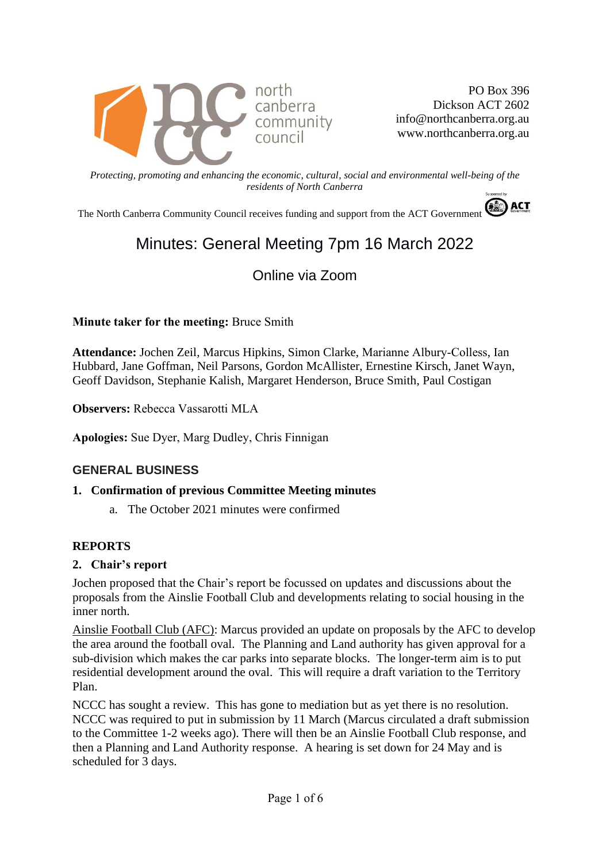

PO Box 396 Dickson ACT 2602 info@northcanberra.org.au www.northcanberra.org.au

*Protecting, promoting and enhancing the economic, cultural, social and environmental well-being of the residents of North Canberra*

The North Canberra Community Council receives funding and support from the ACT Government

# Minutes: General Meeting 7pm 16 March 2022

Online via Zoom

### **Minute taker for the meeting:** Bruce Smith

**Attendance:** Jochen Zeil, Marcus Hipkins, Simon Clarke, Marianne Albury-Colless, Ian Hubbard, Jane Goffman, Neil Parsons, Gordon McAllister, Ernestine Kirsch, Janet Wayn, Geoff Davidson, Stephanie Kalish, Margaret Henderson, Bruce Smith, Paul Costigan

**Observers:** Rebecca Vassarotti MLA

**Apologies:** Sue Dyer, Marg Dudley, Chris Finnigan

### **GENERAL BUSINESS**

### **1. Confirmation of previous Committee Meeting minutes**

a. The October 2021 minutes were confirmed

### **REPORTS**

### **2. Chair's report**

Jochen proposed that the Chair's report be focussed on updates and discussions about the proposals from the Ainslie Football Club and developments relating to social housing in the inner north.

Ainslie Football Club (AFC): Marcus provided an update on proposals by the AFC to develop the area around the football oval. The Planning and Land authority has given approval for a sub-division which makes the car parks into separate blocks. The longer-term aim is to put residential development around the oval. This will require a draft variation to the Territory Plan.

NCCC has sought a review. This has gone to mediation but as yet there is no resolution. NCCC was required to put in submission by 11 March (Marcus circulated a draft submission to the Committee 1-2 weeks ago). There will then be an Ainslie Football Club response, and then a Planning and Land Authority response. A hearing is set down for 24 May and is scheduled for 3 days.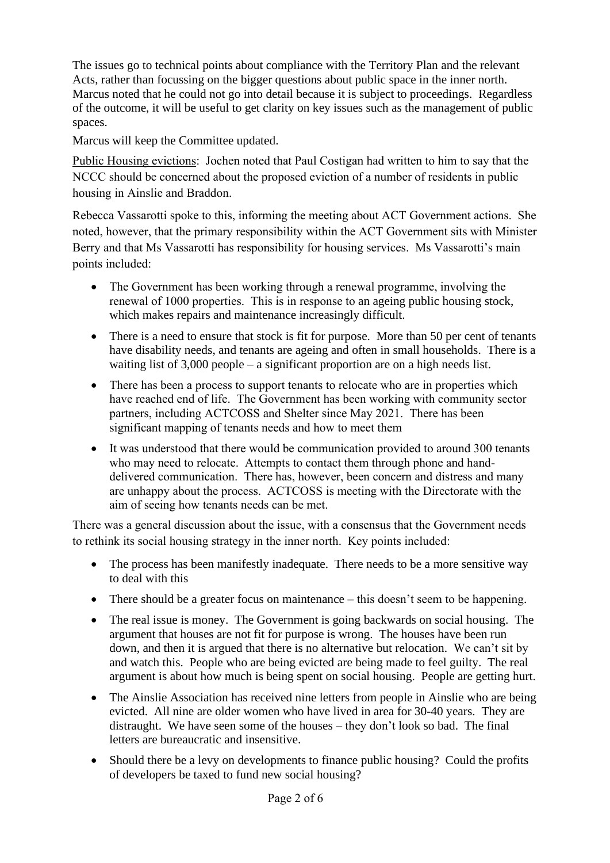The issues go to technical points about compliance with the Territory Plan and the relevant Acts, rather than focussing on the bigger questions about public space in the inner north. Marcus noted that he could not go into detail because it is subject to proceedings. Regardless of the outcome, it will be useful to get clarity on key issues such as the management of public spaces.

Marcus will keep the Committee updated.

Public Housing evictions: Jochen noted that Paul Costigan had written to him to say that the NCCC should be concerned about the proposed eviction of a number of residents in public housing in Ainslie and Braddon.

Rebecca Vassarotti spoke to this, informing the meeting about ACT Government actions. She noted, however, that the primary responsibility within the ACT Government sits with Minister Berry and that Ms Vassarotti has responsibility for housing services. Ms Vassarotti's main points included:

- The Government has been working through a renewal programme, involving the renewal of 1000 properties. This is in response to an ageing public housing stock, which makes repairs and maintenance increasingly difficult.
- There is a need to ensure that stock is fit for purpose. More than 50 per cent of tenants have disability needs, and tenants are ageing and often in small households. There is a waiting list of 3,000 people – a significant proportion are on a high needs list.
- There has been a process to support tenants to relocate who are in properties which have reached end of life. The Government has been working with community sector partners, including ACTCOSS and Shelter since May 2021. There has been significant mapping of tenants needs and how to meet them
- It was understood that there would be communication provided to around 300 tenants who may need to relocate. Attempts to contact them through phone and handdelivered communication. There has, however, been concern and distress and many are unhappy about the process. ACTCOSS is meeting with the Directorate with the aim of seeing how tenants needs can be met.

There was a general discussion about the issue, with a consensus that the Government needs to rethink its social housing strategy in the inner north. Key points included:

- The process has been manifestly inadequate. There needs to be a more sensitive way to deal with this
- There should be a greater focus on maintenance this doesn't seem to be happening.
- The real issue is money. The Government is going backwards on social housing. The argument that houses are not fit for purpose is wrong. The houses have been run down, and then it is argued that there is no alternative but relocation. We can't sit by and watch this. People who are being evicted are being made to feel guilty. The real argument is about how much is being spent on social housing. People are getting hurt.
- The Ainslie Association has received nine letters from people in Ainslie who are being evicted. All nine are older women who have lived in area for 30-40 years. They are distraught. We have seen some of the houses – they don't look so bad. The final letters are bureaucratic and insensitive.
- Should there be a levy on developments to finance public housing? Could the profits of developers be taxed to fund new social housing?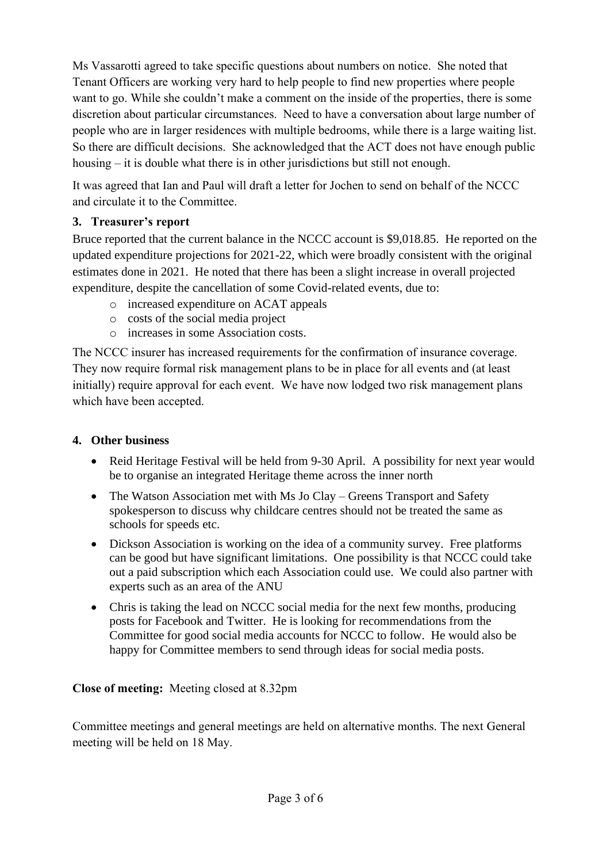Ms Vassarotti agreed to take specific questions about numbers on notice. She noted that Tenant Officers are working very hard to help people to find new properties where people want to go. While she couldn't make a comment on the inside of the properties, there is some discretion about particular circumstances. Need to have a conversation about large number of people who are in larger residences with multiple bedrooms, while there is a large waiting list. So there are difficult decisions. She acknowledged that the ACT does not have enough public housing – it is double what there is in other jurisdictions but still not enough.

It was agreed that Ian and Paul will draft a letter for Jochen to send on behalf of the NCCC and circulate it to the Committee.

# **3. Treasurer's report**

Bruce reported that the current balance in the NCCC account is \$9,018.85. He reported on the updated expenditure projections for 2021-22, which were broadly consistent with the original estimates done in 2021. He noted that there has been a slight increase in overall projected expenditure, despite the cancellation of some Covid-related events, due to:

- o increased expenditure on ACAT appeals
- o costs of the social media project
- o increases in some Association costs.

The NCCC insurer has increased requirements for the confirmation of insurance coverage. They now require formal risk management plans to be in place for all events and (at least initially) require approval for each event. We have now lodged two risk management plans which have been accepted.

### **4. Other business**

- Reid Heritage Festival will be held from 9-30 April. A possibility for next year would be to organise an integrated Heritage theme across the inner north
- The Watson Association met with Ms Jo Clay Greens Transport and Safety spokesperson to discuss why childcare centres should not be treated the same as schools for speeds etc.
- Dickson Association is working on the idea of a community survey. Free platforms can be good but have significant limitations. One possibility is that NCCC could take out a paid subscription which each Association could use. We could also partner with experts such as an area of the ANU
- Chris is taking the lead on NCCC social media for the next few months, producing posts for Facebook and Twitter. He is looking for recommendations from the Committee for good social media accounts for NCCC to follow. He would also be happy for Committee members to send through ideas for social media posts.

### **Close of meeting:** Meeting closed at 8.32pm

Committee meetings and general meetings are held on alternative months. The next General meeting will be held on 18 May.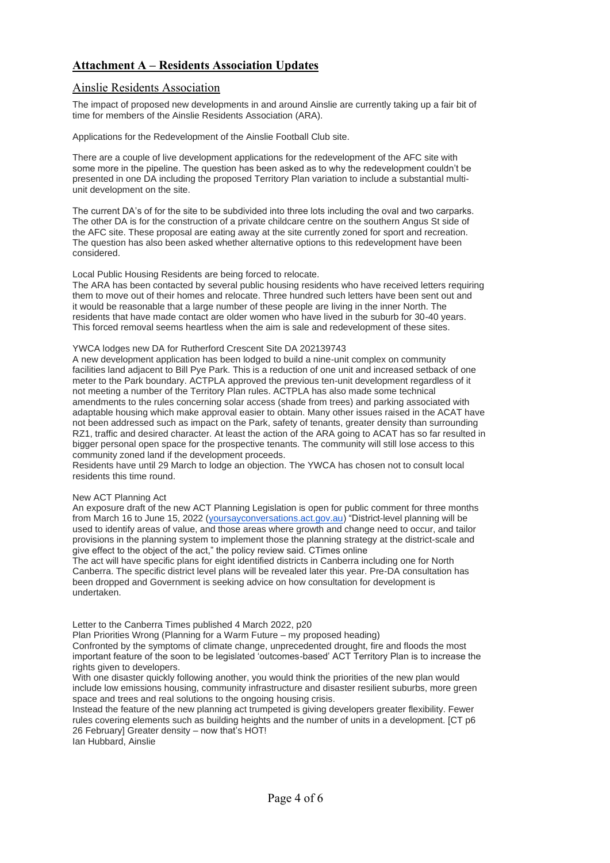### **Attachment A – Residents Association Updates**

### Ainslie Residents Association

The impact of proposed new developments in and around Ainslie are currently taking up a fair bit of time for members of the Ainslie Residents Association (ARA).

Applications for the Redevelopment of the Ainslie Football Club site.

There are a couple of live development applications for the redevelopment of the AFC site with some more in the pipeline. The question has been asked as to why the redevelopment couldn't be presented in one DA including the proposed Territory Plan variation to include a substantial multiunit development on the site.

The current DA's of for the site to be subdivided into three lots including the oval and two carparks. The other DA is for the construction of a private childcare centre on the southern Angus St side of the AFC site. These proposal are eating away at the site currently zoned for sport and recreation. The question has also been asked whether alternative options to this redevelopment have been considered.

Local Public Housing Residents are being forced to relocate.

The ARA has been contacted by several public housing residents who have received letters requiring them to move out of their homes and relocate. Three hundred such letters have been sent out and it would be reasonable that a large number of these people are living in the inner North. The residents that have made contact are older women who have lived in the suburb for 30-40 years. This forced removal seems heartless when the aim is sale and redevelopment of these sites.

#### YWCA lodges new DA for Rutherford Crescent Site DA 202139743

A new development application has been lodged to build a nine-unit complex on community facilities land adjacent to Bill Pye Park. This is a reduction of one unit and increased setback of one meter to the Park boundary. ACTPLA approved the previous ten-unit development regardless of it not meeting a number of the Territory Plan rules. ACTPLA has also made some technical amendments to the rules concerning solar access (shade from trees) and parking associated with adaptable housing which make approval easier to obtain. Many other issues raised in the ACAT have not been addressed such as impact on the Park, safety of tenants, greater density than surrounding RZ1, traffic and desired character. At least the action of the ARA going to ACAT has so far resulted in bigger personal open space for the prospective tenants. The community will still lose access to this community zoned land if the development proceeds.

Residents have until 29 March to lodge an objection. The YWCA has chosen not to consult local residents this time round.

#### New ACT Planning Act

An exposure draft of the new ACT Planning Legislation is open for public comment for three months from March 16 to June 15, 2022 [\(yoursayconversations.act.gov.au\)](http://yoursayconversations.act.gov.au/) "District-level planning will be used to identify areas of value, and those areas where growth and change need to occur, and tailor provisions in the planning system to implement those the planning strategy at the district-scale and give effect to the object of the act," the policy review said. CTimes online

The act will have specific plans for eight identified districts in Canberra including one for North Canberra. The specific district level plans will be revealed later this year. Pre-DA consultation has been dropped and Government is seeking advice on how consultation for development is undertaken.

Letter to the Canberra Times published 4 March 2022, p20

Plan Priorities Wrong (Planning for a Warm Future – my proposed heading)

Confronted by the symptoms of climate change, unprecedented drought, fire and floods the most important feature of the soon to be legislated 'outcomes-based' ACT Territory Plan is to increase the rights given to developers.

With one disaster quickly following another, you would think the priorities of the new plan would include low emissions housing, community infrastructure and disaster resilient suburbs, more green space and trees and real solutions to the ongoing housing crisis.

Instead the feature of the new planning act trumpeted is giving developers greater flexibility. Fewer rules covering elements such as building heights and the number of units in a development. [CT p6 26 February] Greater density – now that's HOT!

Ian Hubbard, Ainslie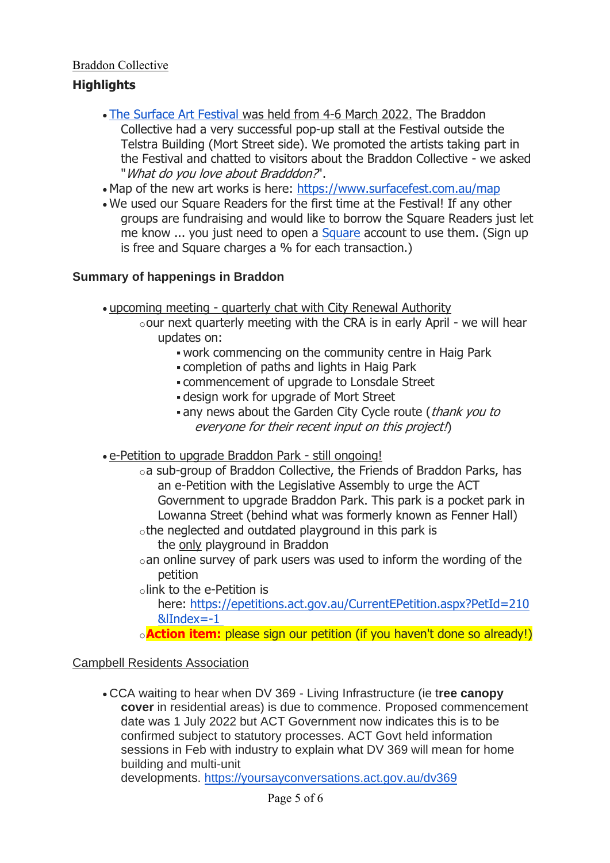### Braddon Collective

# **Highlights**

- [The Surface Art Festival](https://www.surfacefest.com.au/) was held from 4-6 March 2022. The Braddon Collective had a very successful pop-up stall at the Festival outside the Telstra Building (Mort Street side). We promoted the artists taking part in the Festival and chatted to visitors about the Braddon Collective - we asked "What do you love about Bradddon?".
- Map of the new art works is here: <https://www.surfacefest.com.au/map>
- We used our Square Readers for the first time at the Festival! If any other groups are fundraising and would like to borrow the Square Readers just let me know ... you just need to open a [Square](https://squareup.com/signup/au) account to use them. (Sign up is free and Square charges a % for each transaction.)

### **Summary of happenings in Braddon**

- upcoming meeting quarterly chat with City Renewal Authority
	- oour next quarterly meeting with the CRA is in early April we will hear updates on:
		- work commencing on the community centre in Haig Park
		- completion of paths and lights in Haig Park
		- commencement of upgrade to Lonsdale Street
		- **design work for upgrade of Mort Street**
		- any news about the Garden City Cycle route (*thank you to* everyone for their recent input on this project!)
- e-Petition to upgrade Braddon Park still ongoing!
	- oa sub-group of Braddon Collective, the Friends of Braddon Parks, has an e-Petition with the Legislative Assembly to urge the ACT Government to upgrade Braddon Park. This park is a pocket park in Lowanna Street (behind what was formerly known as Fenner Hall) othe neglected and outdated playground in this park is
	- the only playground in Braddon
	- oan online survey of park users was used to inform the wording of the petition
	- olink to the e-Petition is

here: [https://epetitions.act.gov.au/CurrentEPetition.aspx?PetId=210](https://epetitions.act.gov.au/CurrentEPetition.aspx?PetId=210&lIndex=-1)  $&$ Index=-1

o**Action item:** please sign our petition (if you haven't done so already!)

### Campbell Residents Association

• CCA waiting to hear when DV 369 - Living Infrastructure (ie t**ree canopy cover** in residential areas) is due to commence. Proposed commencement date was 1 July 2022 but ACT Government now indicates this is to be confirmed subject to statutory processes. ACT Govt held information sessions in Feb with industry to explain what DV 369 will mean for home building and multi-unit

developments. <https://yoursayconversations.act.gov.au/dv369>